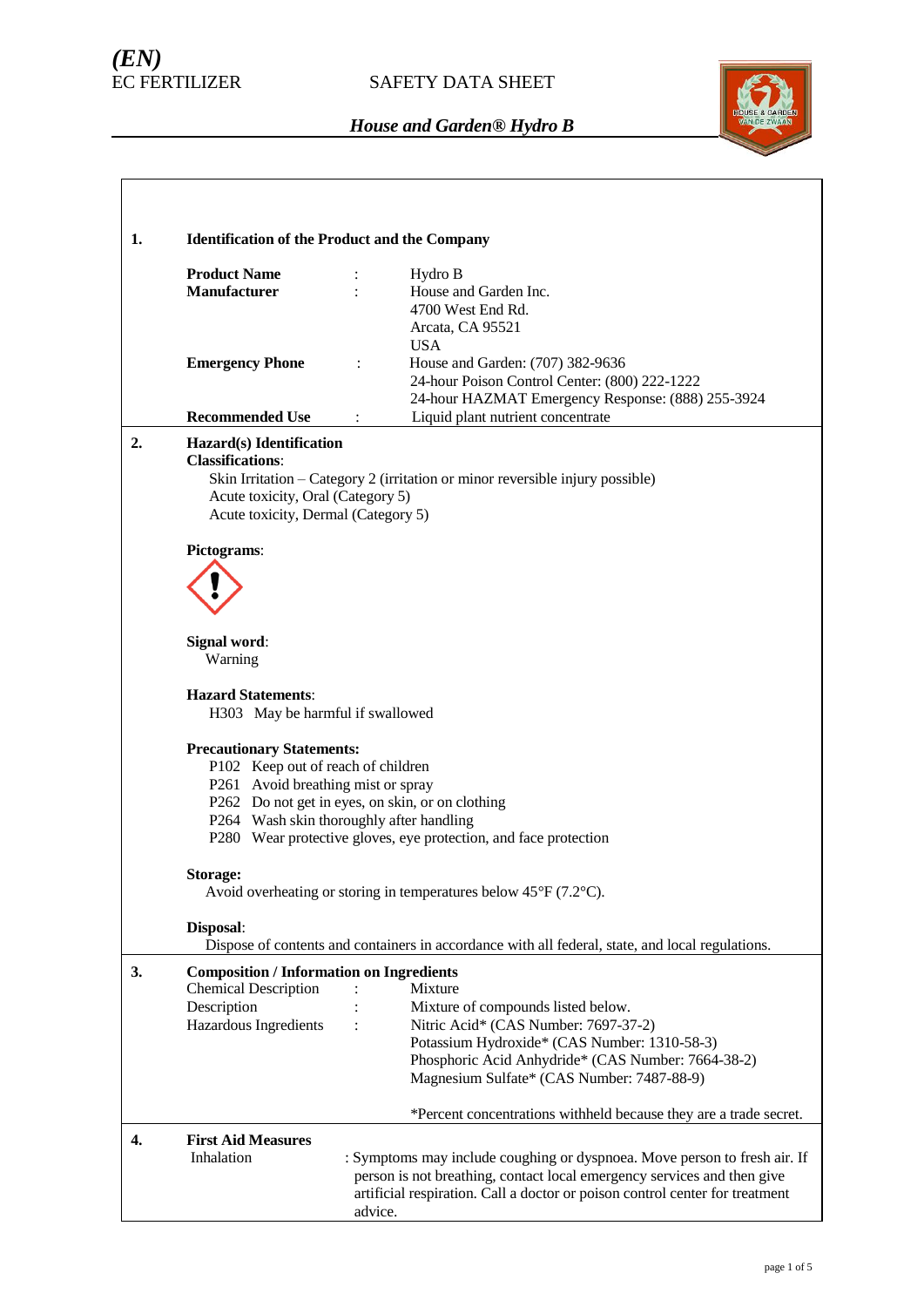# *(EN)*

## SAFETY DATA SHEET



| 1. | <b>Identification of the Product and the Company</b>                                                                                                                                 |                                                                                                                                                                                                                                                                                                                |  |  |  |
|----|--------------------------------------------------------------------------------------------------------------------------------------------------------------------------------------|----------------------------------------------------------------------------------------------------------------------------------------------------------------------------------------------------------------------------------------------------------------------------------------------------------------|--|--|--|
|    | <b>Product Name</b><br><b>Manufacturer</b>                                                                                                                                           | Hydro B<br>÷<br>House and Garden Inc.<br>4700 West End Rd.<br>Arcata, CA 95521                                                                                                                                                                                                                                 |  |  |  |
|    | <b>Emergency Phone</b><br><b>Recommended Use</b>                                                                                                                                     | <b>USA</b><br>House and Garden: (707) 382-9636<br>$\ddot{\cdot}$<br>24-hour Poison Control Center: (800) 222-1222<br>24-hour HAZMAT Emergency Response: (888) 255-3924<br>Liquid plant nutrient concentrate<br>÷                                                                                               |  |  |  |
| 2. | Hazard(s) Identification                                                                                                                                                             |                                                                                                                                                                                                                                                                                                                |  |  |  |
|    | <b>Classifications:</b><br>Skin Irritation - Category 2 (irritation or minor reversible injury possible)<br>Acute toxicity, Oral (Category 5)<br>Acute toxicity, Dermal (Category 5) |                                                                                                                                                                                                                                                                                                                |  |  |  |
|    | Pictograms:                                                                                                                                                                          |                                                                                                                                                                                                                                                                                                                |  |  |  |
|    |                                                                                                                                                                                      |                                                                                                                                                                                                                                                                                                                |  |  |  |
|    | <b>Signal word:</b><br>Warning                                                                                                                                                       |                                                                                                                                                                                                                                                                                                                |  |  |  |
|    | <b>Hazard Statements:</b><br>H303 May be harmful if swallowed                                                                                                                        |                                                                                                                                                                                                                                                                                                                |  |  |  |
|    | <b>Precautionary Statements:</b><br>P102 Keep out of reach of children<br>P261 Avoid breathing mist or spray                                                                         | P262 Do not get in eyes, on skin, or on clothing<br>P264 Wash skin thoroughly after handling<br>P280 Wear protective gloves, eye protection, and face protection                                                                                                                                               |  |  |  |
|    | Storage:                                                                                                                                                                             | Avoid overheating or storing in temperatures below $45^{\circ}F(7.2^{\circ}C)$ .                                                                                                                                                                                                                               |  |  |  |
|    | Disposal:                                                                                                                                                                            | Dispose of contents and containers in accordance with all federal, state, and local regulations.                                                                                                                                                                                                               |  |  |  |
| 3. | <b>Composition / Information on Ingredients</b><br><b>Chemical Description</b><br>Description<br>Hazardous Ingredients                                                               | Mixture<br>Mixture of compounds listed below.<br>Nitric Acid* (CAS Number: 7697-37-2)<br>Potassium Hydroxide* (CAS Number: 1310-58-3)<br>Phosphoric Acid Anhydride* (CAS Number: 7664-38-2)<br>Magnesium Sulfate* (CAS Number: 7487-88-9)<br>*Percent concentrations withheld because they are a trade secret. |  |  |  |
| 4. | <b>First Aid Measures</b>                                                                                                                                                            |                                                                                                                                                                                                                                                                                                                |  |  |  |
|    | Inhalation                                                                                                                                                                           | : Symptoms may include coughing or dyspnoea. Move person to fresh air. If<br>person is not breathing, contact local emergency services and then give<br>artificial respiration. Call a doctor or poison control center for treatment<br>advice.                                                                |  |  |  |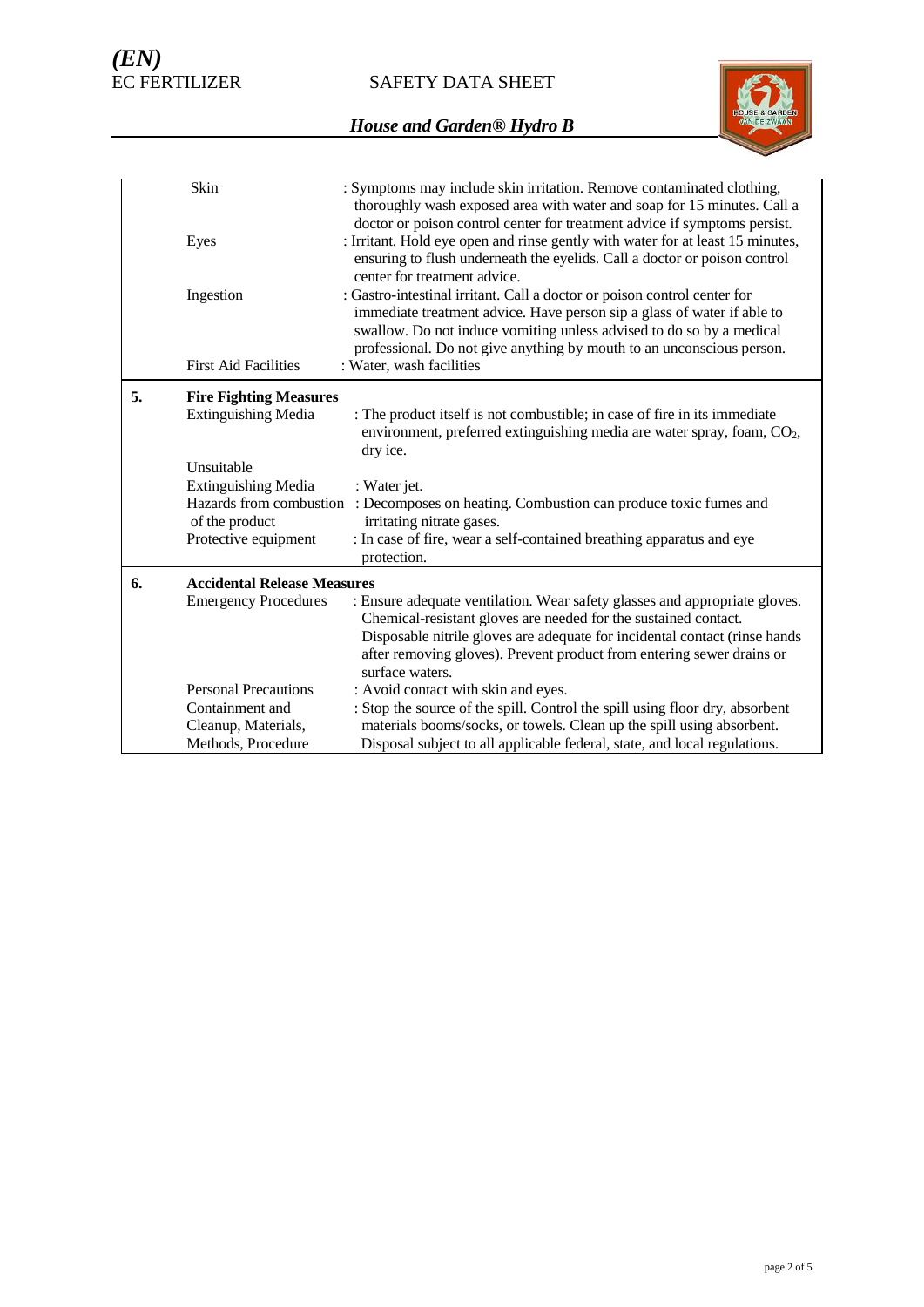SAFETY DATA SHEET



|    | Skin                                                                    | : Symptoms may include skin irritation. Remove contaminated clothing,<br>thoroughly wash exposed area with water and soap for 15 minutes. Call a<br>doctor or poison control center for treatment advice if symptoms persist.                                                                        |
|----|-------------------------------------------------------------------------|------------------------------------------------------------------------------------------------------------------------------------------------------------------------------------------------------------------------------------------------------------------------------------------------------|
|    | Eyes                                                                    | : Irritant. Hold eye open and rinse gently with water for at least 15 minutes,<br>ensuring to flush underneath the eyelids. Call a doctor or poison control<br>center for treatment advice.                                                                                                          |
|    | Ingestion                                                               | : Gastro-intestinal irritant. Call a doctor or poison control center for<br>immediate treatment advice. Have person sip a glass of water if able to<br>swallow. Do not induce vomiting unless advised to do so by a medical<br>professional. Do not give anything by mouth to an unconscious person. |
|    | <b>First Aid Facilities</b>                                             | : Water, wash facilities                                                                                                                                                                                                                                                                             |
| 5. | <b>Fire Fighting Measures</b>                                           |                                                                                                                                                                                                                                                                                                      |
|    | <b>Extinguishing Media</b>                                              | : The product itself is not combustible; in case of fire in its immediate<br>environment, preferred extinguishing media are water spray, foam, CO <sub>2</sub> ,<br>dry ice.                                                                                                                         |
|    | Unsuitable                                                              |                                                                                                                                                                                                                                                                                                      |
|    | <b>Extinguishing Media</b><br>Hazards from combustion<br>of the product | : Water jet.<br>: Decomposes on heating. Combustion can produce toxic fumes and<br>irritating nitrate gases.                                                                                                                                                                                         |
|    | Protective equipment                                                    | : In case of fire, wear a self-contained breathing apparatus and eye<br>protection.                                                                                                                                                                                                                  |
| 6. | <b>Accidental Release Measures</b>                                      |                                                                                                                                                                                                                                                                                                      |
|    | <b>Emergency Procedures</b>                                             | : Ensure adequate ventilation. Wear safety glasses and appropriate gloves.<br>Chemical-resistant gloves are needed for the sustained contact.                                                                                                                                                        |
|    |                                                                         | Disposable nitrile gloves are adequate for incidental contact (rinse hands<br>after removing gloves). Prevent product from entering sewer drains or<br>surface waters.                                                                                                                               |
|    | <b>Personal Precautions</b>                                             | : Avoid contact with skin and eyes.                                                                                                                                                                                                                                                                  |
|    | Containment and                                                         | : Stop the source of the spill. Control the spill using floor dry, absorbent                                                                                                                                                                                                                         |
|    | Cleanup, Materials,                                                     | materials booms/socks, or towels. Clean up the spill using absorbent.                                                                                                                                                                                                                                |
|    | Methods, Procedure                                                      | Disposal subject to all applicable federal, state, and local regulations.                                                                                                                                                                                                                            |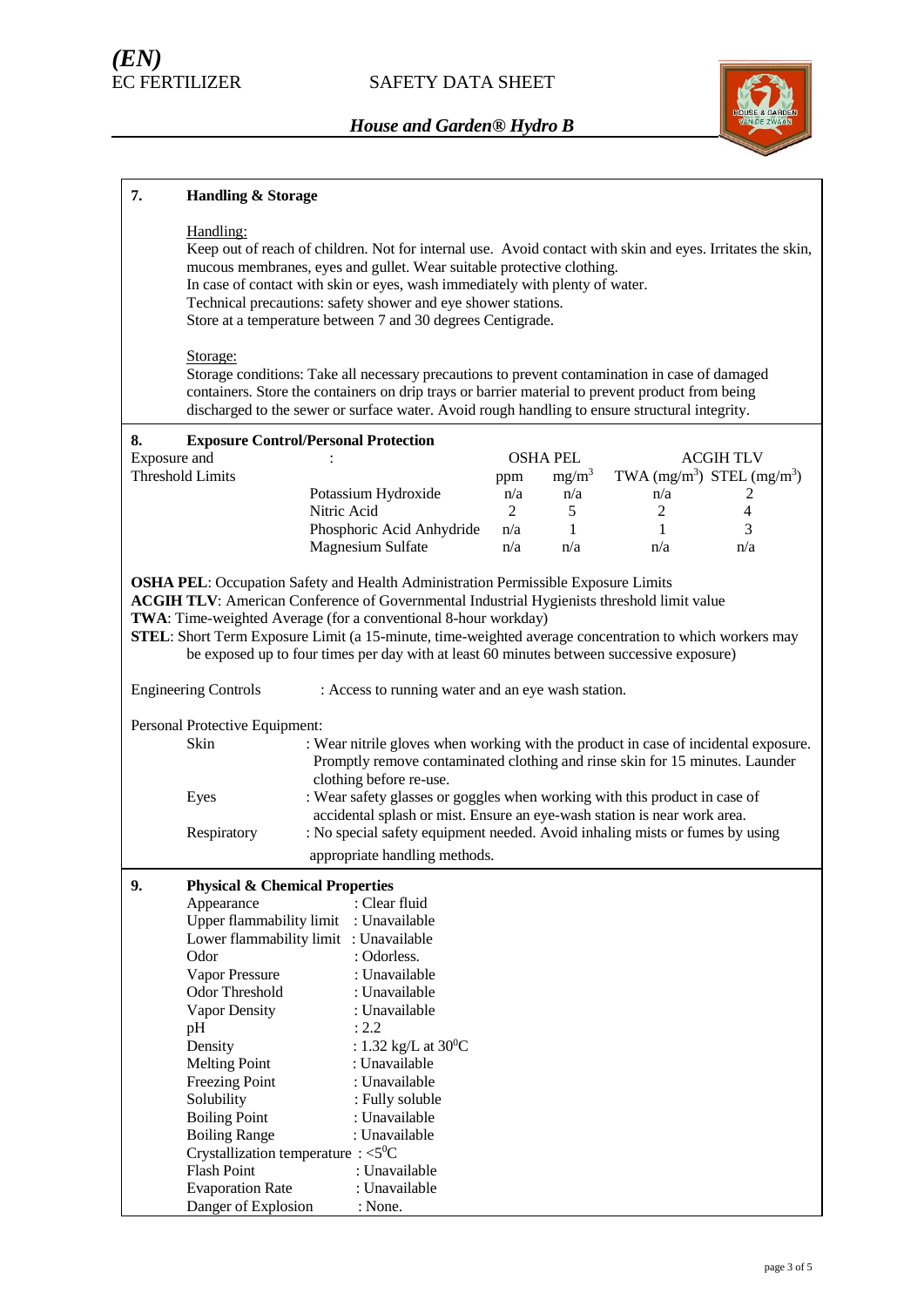

| 7.           | <b>Handling &amp; Storage</b>                                                                                                                                                                                                                                                                                                                                                                                    |                                                                                                                                                                                                                                                                                                                                                                     |     |                 |                                |                         |
|--------------|------------------------------------------------------------------------------------------------------------------------------------------------------------------------------------------------------------------------------------------------------------------------------------------------------------------------------------------------------------------------------------------------------------------|---------------------------------------------------------------------------------------------------------------------------------------------------------------------------------------------------------------------------------------------------------------------------------------------------------------------------------------------------------------------|-----|-----------------|--------------------------------|-------------------------|
|              | Handling:<br>Keep out of reach of children. Not for internal use. Avoid contact with skin and eyes. Irritates the skin,<br>mucous membranes, eyes and gullet. Wear suitable protective clothing.<br>In case of contact with skin or eyes, wash immediately with plenty of water.<br>Technical precautions: safety shower and eye shower stations.<br>Store at a temperature between 7 and 30 degrees Centigrade. |                                                                                                                                                                                                                                                                                                                                                                     |     |                 |                                |                         |
|              | Storage:                                                                                                                                                                                                                                                                                                                                                                                                         | Storage conditions: Take all necessary precautions to prevent contamination in case of damaged<br>containers. Store the containers on drip trays or barrier material to prevent product from being<br>discharged to the sewer or surface water. Avoid rough handling to ensure structural integrity.                                                                |     |                 |                                |                         |
| 8.           | <b>Exposure Control/Personal Protection</b>                                                                                                                                                                                                                                                                                                                                                                      |                                                                                                                                                                                                                                                                                                                                                                     |     |                 |                                |                         |
| Exposure and |                                                                                                                                                                                                                                                                                                                                                                                                                  |                                                                                                                                                                                                                                                                                                                                                                     |     | <b>OSHA PEL</b> |                                | <b>ACGIH TLV</b>        |
|              | <b>Threshold Limits</b>                                                                                                                                                                                                                                                                                                                                                                                          |                                                                                                                                                                                                                                                                                                                                                                     | ppm | $mg/m^3$        | TWA $(mg/m^3)$ STEL $(mg/m^3)$ |                         |
|              |                                                                                                                                                                                                                                                                                                                                                                                                                  | Potassium Hydroxide                                                                                                                                                                                                                                                                                                                                                 | n/a | n/a             | n/a                            | 2                       |
|              |                                                                                                                                                                                                                                                                                                                                                                                                                  | Nitric Acid                                                                                                                                                                                                                                                                                                                                                         | 2   | 5 <sup>5</sup>  | 2                              | $\overline{\mathbf{4}}$ |
|              |                                                                                                                                                                                                                                                                                                                                                                                                                  | Phosphoric Acid Anhydride                                                                                                                                                                                                                                                                                                                                           | n/a | $\mathbf{1}$    | $\mathbf{1}$                   | 3                       |
|              |                                                                                                                                                                                                                                                                                                                                                                                                                  | Magnesium Sulfate                                                                                                                                                                                                                                                                                                                                                   | n/a | n/a             | n/a                            | n/a                     |
|              |                                                                                                                                                                                                                                                                                                                                                                                                                  | ACGIH TLV: American Conference of Governmental Industrial Hygienists threshold limit value<br>TWA: Time-weighted Average (for a conventional 8-hour workday)<br>STEL: Short Term Exposure Limit (a 15-minute, time-weighted average concentration to which workers may<br>be exposed up to four times per day with at least 60 minutes between successive exposure) |     |                 |                                |                         |
|              | <b>Engineering Controls</b>                                                                                                                                                                                                                                                                                                                                                                                      | : Access to running water and an eye wash station.                                                                                                                                                                                                                                                                                                                  |     |                 |                                |                         |
|              | Personal Protective Equipment:<br>Skin<br>Eyes                                                                                                                                                                                                                                                                                                                                                                   | : Wear nitrile gloves when working with the product in case of incidental exposure.<br>Promptly remove contaminated clothing and rinse skin for 15 minutes. Launder<br>clothing before re-use.<br>: Wear safety glasses or goggles when working with this product in case of                                                                                        |     |                 |                                |                         |
|              | Respiratory                                                                                                                                                                                                                                                                                                                                                                                                      | accidental splash or mist. Ensure an eye-wash station is near work area.<br>: No special safety equipment needed. Avoid inhaling mists or fumes by using                                                                                                                                                                                                            |     |                 |                                |                         |
|              |                                                                                                                                                                                                                                                                                                                                                                                                                  | appropriate handling methods.                                                                                                                                                                                                                                                                                                                                       |     |                 |                                |                         |
|              |                                                                                                                                                                                                                                                                                                                                                                                                                  |                                                                                                                                                                                                                                                                                                                                                                     |     |                 |                                |                         |
| 9.           | <b>Physical &amp; Chemical Properties</b><br>Appearance<br>Upper flammability limit<br>Lower flammability limit : Unavailable<br>Odor                                                                                                                                                                                                                                                                            | : Clear fluid<br>: Unavailable<br>: Odorless.<br>: Unavailable                                                                                                                                                                                                                                                                                                      |     |                 |                                |                         |
|              | Vapor Pressure<br>Odor Threshold<br>Vapor Density                                                                                                                                                                                                                                                                                                                                                                | : Unavailable<br>: Unavailable                                                                                                                                                                                                                                                                                                                                      |     |                 |                                |                         |
|              | pH<br>Density<br><b>Melting Point</b>                                                                                                                                                                                                                                                                                                                                                                            | : 2.2<br>: 1.32 kg/L at $30^{\circ}$ C<br>: Unavailable                                                                                                                                                                                                                                                                                                             |     |                 |                                |                         |
|              | <b>Freezing Point</b>                                                                                                                                                                                                                                                                                                                                                                                            | : Unavailable                                                                                                                                                                                                                                                                                                                                                       |     |                 |                                |                         |
|              | Solubility                                                                                                                                                                                                                                                                                                                                                                                                       | : Fully soluble                                                                                                                                                                                                                                                                                                                                                     |     |                 |                                |                         |
|              | <b>Boiling Point</b>                                                                                                                                                                                                                                                                                                                                                                                             | : Unavailable                                                                                                                                                                                                                                                                                                                                                       |     |                 |                                |                         |
|              | <b>Boiling Range</b>                                                                                                                                                                                                                                                                                                                                                                                             | : Unavailable                                                                                                                                                                                                                                                                                                                                                       |     |                 |                                |                         |
|              | Crystallization temperature : $\langle 5^0C \rangle$                                                                                                                                                                                                                                                                                                                                                             |                                                                                                                                                                                                                                                                                                                                                                     |     |                 |                                |                         |
|              | <b>Flash Point</b>                                                                                                                                                                                                                                                                                                                                                                                               | : Unavailable                                                                                                                                                                                                                                                                                                                                                       |     |                 |                                |                         |
|              | <b>Evaporation Rate</b>                                                                                                                                                                                                                                                                                                                                                                                          | : Unavailable                                                                                                                                                                                                                                                                                                                                                       |     |                 |                                |                         |
|              | Danger of Explosion                                                                                                                                                                                                                                                                                                                                                                                              | : None.                                                                                                                                                                                                                                                                                                                                                             |     |                 |                                |                         |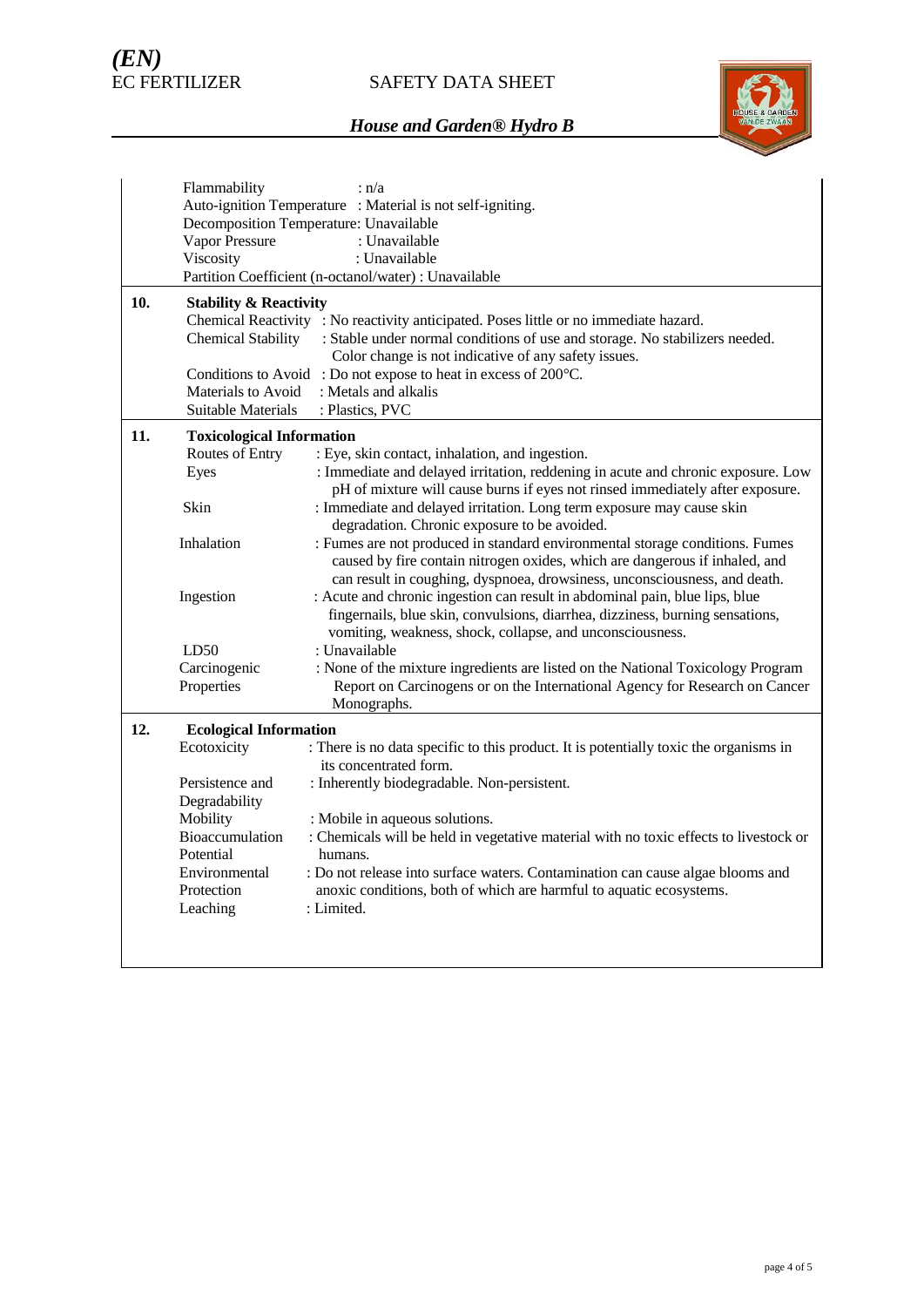

|     | Flammability                                               | : n/a                                                                                 |  |  |  |
|-----|------------------------------------------------------------|---------------------------------------------------------------------------------------|--|--|--|
|     | Auto-ignition Temperature : Material is not self-igniting. |                                                                                       |  |  |  |
|     | Decomposition Temperature: Unavailable                     |                                                                                       |  |  |  |
|     | Vapor Pressure                                             | : Unavailable                                                                         |  |  |  |
|     | Viscosity                                                  | : Unavailable                                                                         |  |  |  |
|     |                                                            | Partition Coefficient (n-octanol/water) : Unavailable                                 |  |  |  |
|     |                                                            |                                                                                       |  |  |  |
| 10. | <b>Stability &amp; Reactivity</b>                          |                                                                                       |  |  |  |
|     |                                                            | Chemical Reactivity : No reactivity anticipated. Poses little or no immediate hazard. |  |  |  |
|     | <b>Chemical Stability</b>                                  | : Stable under normal conditions of use and storage. No stabilizers needed.           |  |  |  |
|     |                                                            | Color change is not indicative of any safety issues.                                  |  |  |  |
|     |                                                            | Conditions to Avoid: Do not expose to heat in excess of 200°C.                        |  |  |  |
|     | Materials to Avoid                                         | : Metals and alkalis                                                                  |  |  |  |
|     | Suitable Materials                                         | : Plastics, PVC                                                                       |  |  |  |
| 11. | <b>Toxicological Information</b>                           |                                                                                       |  |  |  |
|     | Routes of Entry                                            | : Eye, skin contact, inhalation, and ingestion.                                       |  |  |  |
|     | Eyes                                                       | : Immediate and delayed irritation, reddening in acute and chronic exposure. Low      |  |  |  |
|     |                                                            | pH of mixture will cause burns if eyes not rinsed immediately after exposure.         |  |  |  |
|     | Skin                                                       | : Immediate and delayed irritation. Long term exposure may cause skin                 |  |  |  |
|     |                                                            | degradation. Chronic exposure to be avoided.                                          |  |  |  |
|     | Inhalation                                                 | : Fumes are not produced in standard environmental storage conditions. Fumes          |  |  |  |
|     |                                                            |                                                                                       |  |  |  |
|     |                                                            | caused by fire contain nitrogen oxides, which are dangerous if inhaled, and           |  |  |  |
|     |                                                            | can result in coughing, dyspnoea, drowsiness, unconsciousness, and death.             |  |  |  |
|     | Ingestion                                                  | : Acute and chronic ingestion can result in abdominal pain, blue lips, blue           |  |  |  |
|     |                                                            | fingernails, blue skin, convulsions, diarrhea, dizziness, burning sensations,         |  |  |  |
|     |                                                            | vomiting, weakness, shock, collapse, and unconsciousness.                             |  |  |  |
|     | LD50                                                       | : Unavailable                                                                         |  |  |  |
|     | Carcinogenic                                               | : None of the mixture ingredients are listed on the National Toxicology Program       |  |  |  |
|     | Properties                                                 | Report on Carcinogens or on the International Agency for Research on Cancer           |  |  |  |
|     |                                                            | Monographs.                                                                           |  |  |  |
| 12. | <b>Ecological Information</b>                              |                                                                                       |  |  |  |
|     | Ecotoxicity                                                | : There is no data specific to this product. It is potentially toxic the organisms in |  |  |  |
|     |                                                            | its concentrated form.                                                                |  |  |  |
|     | Persistence and                                            | : Inherently biodegradable. Non-persistent.                                           |  |  |  |
|     | Degradability                                              |                                                                                       |  |  |  |
|     | Mobility                                                   | : Mobile in aqueous solutions.                                                        |  |  |  |
|     | Bioaccumulation                                            | : Chemicals will be held in vegetative material with no toxic effects to livestock or |  |  |  |
|     | Potential                                                  | humans.                                                                               |  |  |  |
|     | Environmental                                              | : Do not release into surface waters. Contamination can cause algae blooms and        |  |  |  |
|     | Protection                                                 | anoxic conditions, both of which are harmful to aquatic ecosystems.                   |  |  |  |
|     | Leaching                                                   | : Limited.                                                                            |  |  |  |
|     |                                                            |                                                                                       |  |  |  |
|     |                                                            |                                                                                       |  |  |  |
|     |                                                            |                                                                                       |  |  |  |